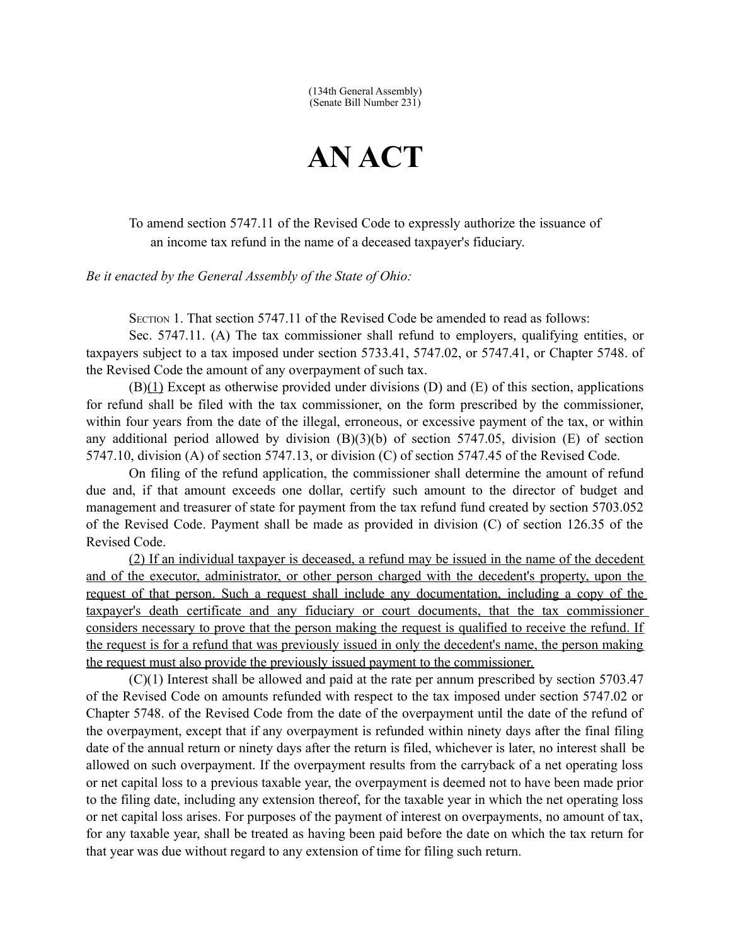(134th General Assembly) (Senate Bill Number 231)

## **AN ACT**

To amend section 5747.11 of the Revised Code to expressly authorize the issuance of an income tax refund in the name of a deceased taxpayer's fiduciary.

*Be it enacted by the General Assembly of the State of Ohio:*

SECTION 1. That section 5747.11 of the Revised Code be amended to read as follows:

Sec. 5747.11. (A) The tax commissioner shall refund to employers, qualifying entities, or taxpayers subject to a tax imposed under section 5733.41, 5747.02, or 5747.41, or Chapter 5748. of the Revised Code the amount of any overpayment of such tax.

 $(B)(1)$  Except as otherwise provided under divisions  $(D)$  and  $(E)$  of this section, applications for refund shall be filed with the tax commissioner, on the form prescribed by the commissioner, within four years from the date of the illegal, erroneous, or excessive payment of the tax, or within any additional period allowed by division (B)(3)(b) of section 5747.05, division (E) of section 5747.10, division (A) of section 5747.13, or division (C) of section 5747.45 of the Revised Code.

On filing of the refund application, the commissioner shall determine the amount of refund due and, if that amount exceeds one dollar, certify such amount to the director of budget and management and treasurer of state for payment from the tax refund fund created by section 5703.052 of the Revised Code. Payment shall be made as provided in division (C) of section 126.35 of the Revised Code.

(2) If an individual taxpayer is deceased, a refund may be issued in the name of the decedent and of the executor, administrator, or other person charged with the decedent's property, upon the request of that person. Such a request shall include any documentation, including a copy of the taxpayer's death certificate and any fiduciary or court documents, that the tax commissioner considers necessary to prove that the person making the request is qualified to receive the refund. If the request is for a refund that was previously issued in only the decedent's name, the person making the request must also provide the previously issued payment to the commissioner.

(C)(1) Interest shall be allowed and paid at the rate per annum prescribed by section 5703.47 of the Revised Code on amounts refunded with respect to the tax imposed under section 5747.02 or Chapter 5748. of the Revised Code from the date of the overpayment until the date of the refund of the overpayment, except that if any overpayment is refunded within ninety days after the final filing date of the annual return or ninety days after the return is filed, whichever is later, no interest shall be allowed on such overpayment. If the overpayment results from the carryback of a net operating loss or net capital loss to a previous taxable year, the overpayment is deemed not to have been made prior to the filing date, including any extension thereof, for the taxable year in which the net operating loss or net capital loss arises. For purposes of the payment of interest on overpayments, no amount of tax, for any taxable year, shall be treated as having been paid before the date on which the tax return for that year was due without regard to any extension of time for filing such return.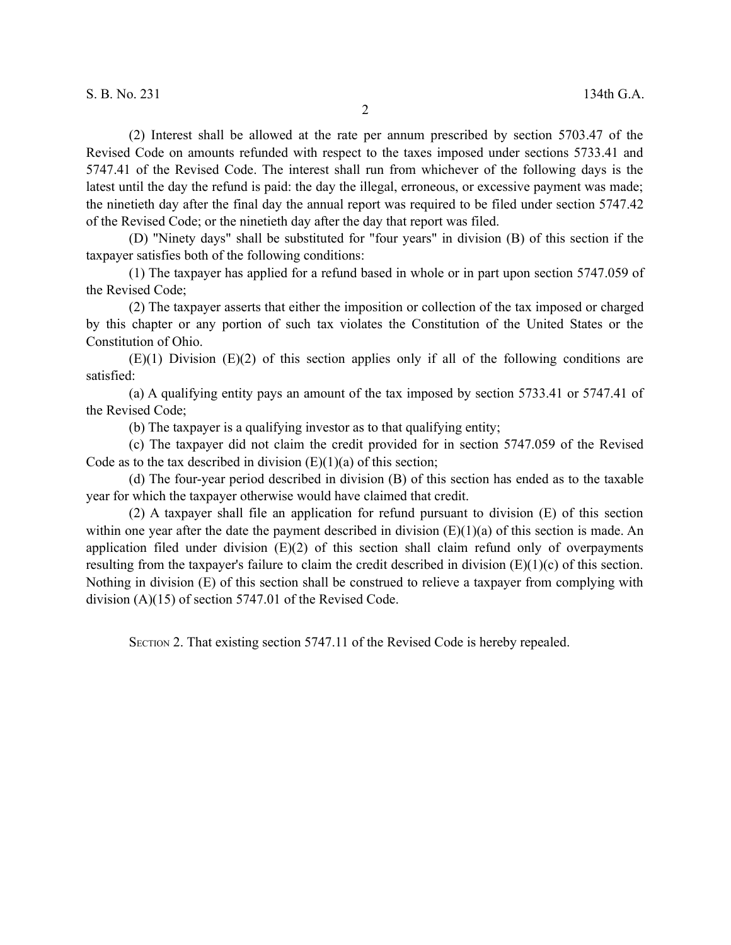(2) Interest shall be allowed at the rate per annum prescribed by section 5703.47 of the Revised Code on amounts refunded with respect to the taxes imposed under sections 5733.41 and 5747.41 of the Revised Code. The interest shall run from whichever of the following days is the latest until the day the refund is paid: the day the illegal, erroneous, or excessive payment was made; the ninetieth day after the final day the annual report was required to be filed under section 5747.42 of the Revised Code; or the ninetieth day after the day that report was filed.

(D) "Ninety days" shall be substituted for "four years" in division (B) of this section if the taxpayer satisfies both of the following conditions:

(1) The taxpayer has applied for a refund based in whole or in part upon section 5747.059 of the Revised Code;

(2) The taxpayer asserts that either the imposition or collection of the tax imposed or charged by this chapter or any portion of such tax violates the Constitution of the United States or the Constitution of Ohio.

 $(E)(1)$  Division  $(E)(2)$  of this section applies only if all of the following conditions are satisfied:

(a) A qualifying entity pays an amount of the tax imposed by section 5733.41 or 5747.41 of the Revised Code;

(b) The taxpayer is a qualifying investor as to that qualifying entity;

(c) The taxpayer did not claim the credit provided for in section 5747.059 of the Revised Code as to the tax described in division  $(E)(1)(a)$  of this section;

(d) The four-year period described in division (B) of this section has ended as to the taxable year for which the taxpayer otherwise would have claimed that credit.

(2) A taxpayer shall file an application for refund pursuant to division (E) of this section within one year after the date the payment described in division  $(E)(1)(a)$  of this section is made. An application filed under division  $(E)(2)$  of this section shall claim refund only of overpayments resulting from the taxpayer's failure to claim the credit described in division (E)(1)(c) of this section. Nothing in division (E) of this section shall be construed to relieve a taxpayer from complying with division (A)(15) of section 5747.01 of the Revised Code.

SECTION 2. That existing section 5747.11 of the Revised Code is hereby repealed.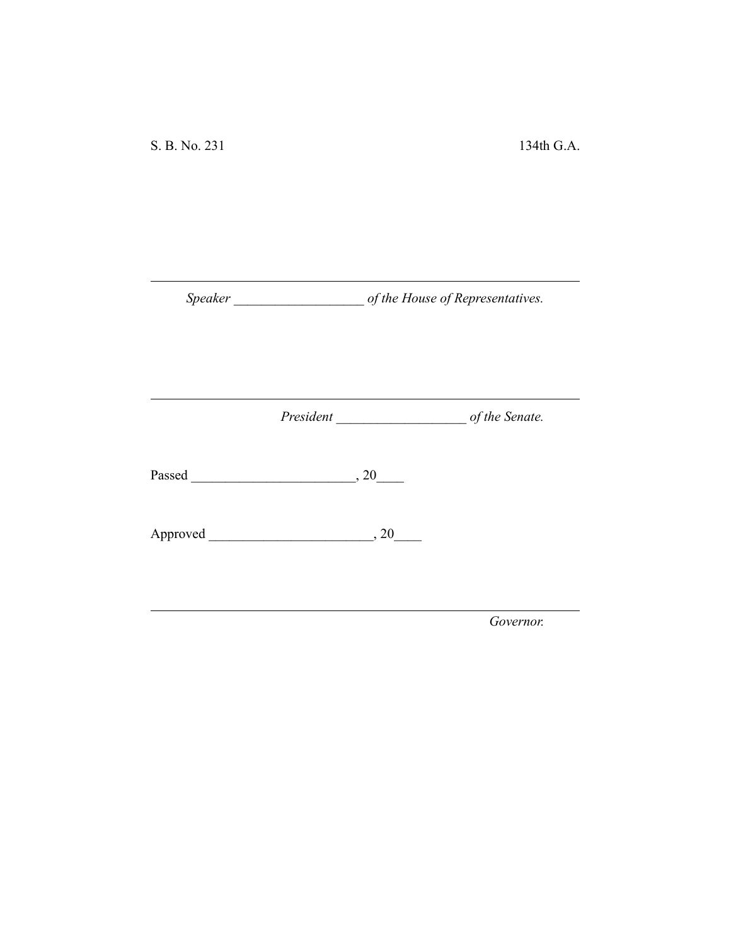*Speaker \_\_\_\_\_\_\_\_\_\_\_\_\_\_\_\_\_\_\_ of the House of Representatives.*

*President \_\_\_\_\_\_\_\_\_\_\_\_\_\_\_\_\_\_\_ of the Senate.*

Passed \_\_\_\_\_\_\_\_\_\_\_\_\_\_\_\_\_\_\_\_\_\_\_\_, 20\_\_\_\_

Approved \_\_\_\_\_\_\_\_\_\_\_\_\_\_\_\_\_\_\_\_\_\_\_\_, 20\_\_\_\_

*Governor.*